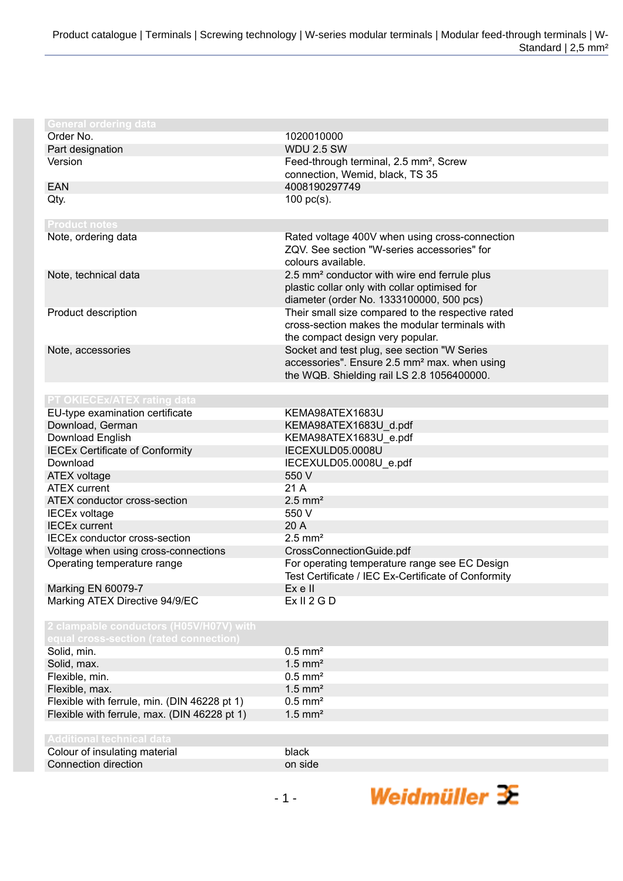| <b>General ordering data</b>                                   |                                                          |
|----------------------------------------------------------------|----------------------------------------------------------|
| Order No.                                                      | 1020010000                                               |
| Part designation                                               | <b>WDU 2.5 SW</b>                                        |
| Version                                                        | Feed-through terminal, 2.5 mm <sup>2</sup> , Screw       |
|                                                                | connection, Wemid, black, TS 35                          |
| <b>EAN</b>                                                     | 4008190297749                                            |
| Qty.                                                           | $100$ pc(s).                                             |
|                                                                |                                                          |
| <b>Product notes</b>                                           |                                                          |
| Note, ordering data                                            | Rated voltage 400V when using cross-connection           |
|                                                                | ZQV. See section "W-series accessories" for              |
|                                                                | colours available.                                       |
| Note, technical data                                           | 2.5 mm <sup>2</sup> conductor with wire end ferrule plus |
|                                                                | plastic collar only with collar optimised for            |
|                                                                | diameter (order No. 1333100000, 500 pcs)                 |
| Product description                                            | Their small size compared to the respective rated        |
|                                                                | cross-section makes the modular terminals with           |
|                                                                | the compact design very popular.                         |
| Note, accessories                                              | Socket and test plug, see section "W Series              |
|                                                                | accessories". Ensure 2.5 mm <sup>2</sup> max. when using |
|                                                                | the WQB. Shielding rail LS 2.8 1056400000.               |
| PT OKIECEx/ATEX rating data                                    |                                                          |
| EU-type examination certificate                                | KEMA98ATEX1683U                                          |
| Download, German                                               | KEMA98ATEX1683U_d.pdf                                    |
| Download English                                               | KEMA98ATEX1683U_e.pdf                                    |
| <b>IECEx Certificate of Conformity</b>                         | IECEXULD05.0008U                                         |
| Download                                                       | IECEXULD05.0008U_e.pdf                                   |
| <b>ATEX voltage</b>                                            | 550 V                                                    |
| <b>ATEX current</b>                                            | 21 A                                                     |
| ATEX conductor cross-section                                   | $2.5$ mm <sup>2</sup>                                    |
| <b>IECEx voltage</b>                                           | 550 V                                                    |
| <b>IECEx current</b>                                           | 20 A                                                     |
| <b>IECEx conductor cross-section</b>                           | $2.5$ mm <sup>2</sup>                                    |
| Voltage when using cross-connections                           | CrossConnectionGuide.pdf                                 |
| Operating temperature range                                    | For operating temperature range see EC Design            |
|                                                                | Test Certificate / IEC Ex-Certificate of Conformity      |
| Marking EN 60079-7                                             | Ex e II                                                  |
| Marking ATEX Directive 94/9/EC                                 | Ex II 2 G D                                              |
|                                                                |                                                          |
| 2 clampable conductors (H05V/H07V) with                        |                                                          |
| equal cross-section (rated connection)                         |                                                          |
| Solid, min.                                                    | $0.5$ mm <sup>2</sup>                                    |
| Solid, max.                                                    | $1.5$ mm <sup>2</sup><br>$0.5$ mm <sup>2</sup>           |
| Flexible, min.                                                 | $1.5$ mm <sup>2</sup>                                    |
| Flexible, max.<br>Flexible with ferrule, min. (DIN 46228 pt 1) | $0.5$ mm <sup>2</sup>                                    |
| Flexible with ferrule, max. (DIN 46228 pt 1)                   | $1.5$ mm <sup>2</sup>                                    |
|                                                                |                                                          |
| <b>Additional technical data</b>                               |                                                          |
| Colour of insulating material                                  | black                                                    |
| Connection direction                                           | on side                                                  |
|                                                                |                                                          |
|                                                                |                                                          |
|                                                                | Weidmüller $\mathbf{\mathbf{\mathcal{F}}}$<br>$-1-$      |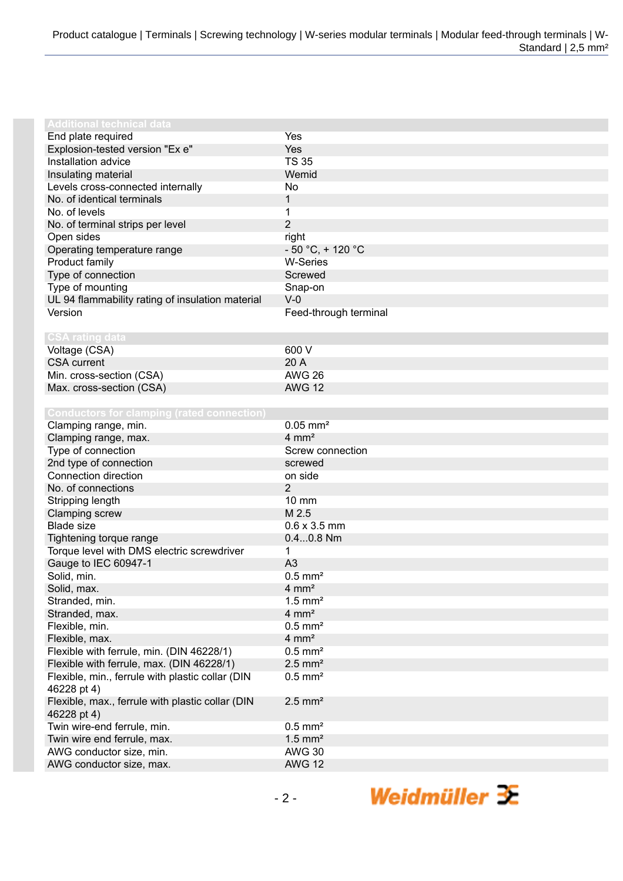| <b>Additional technical data</b>                  |                        |
|---------------------------------------------------|------------------------|
| End plate required                                | Yes                    |
| Explosion-tested version "Ex e"                   | Yes                    |
| Installation advice                               | <b>TS 35</b>           |
| Insulating material                               | Wemid                  |
| Levels cross-connected internally                 | No                     |
| No. of identical terminals                        | 1                      |
| No. of levels                                     | 1                      |
| No. of terminal strips per level                  | $\overline{2}$         |
| Open sides                                        | right                  |
| Operating temperature range                       | $-50 °C$ , + 120 °C    |
| Product family                                    | <b>W-Series</b>        |
| Type of connection                                | Screwed                |
| Type of mounting                                  | Snap-on                |
| UL 94 flammability rating of insulation material  | $V-0$                  |
| Version                                           | Feed-through terminal  |
|                                                   |                        |
| <b>CSA rating data</b>                            |                        |
| Voltage (CSA)                                     | 600 V                  |
| <b>CSA</b> current                                | 20 A                   |
| Min. cross-section (CSA)                          | <b>AWG 26</b>          |
| Max. cross-section (CSA)                          | <b>AWG 12</b>          |
|                                                   |                        |
| <b>Conductors for clamping (rated connection)</b> |                        |
| Clamping range, min.                              | $0.05$ mm <sup>2</sup> |
| Clamping range, max.                              | $4 \, \text{mm}^2$     |
| Type of connection                                | Screw connection       |
| 2nd type of connection                            | screwed                |
| Connection direction                              | on side                |
| No. of connections                                | 2                      |
| Stripping length                                  | 10 mm                  |
| <b>Clamping screw</b>                             | M 2.5                  |
| <b>Blade size</b>                                 | $0.6 \times 3.5$ mm    |
| Tightening torque range                           | $0.40.8$ Nm            |
| Torque level with DMS electric screwdriver        | 1                      |
| Gauge to IEC 60947-1                              | A <sub>3</sub>         |
| Solid, min.                                       | $0.5$ mm <sup>2</sup>  |
| Solid, max.                                       | $4 \, \text{mm}^2$     |
| Stranded, min.                                    | $1.5$ mm <sup>2</sup>  |
| Stranded, max.                                    | $4 \, \text{mm}^2$     |
| Flexible, min.                                    | $0.5$ mm <sup>2</sup>  |
| Flexible, max.                                    | $4 \text{ mm}^2$       |
| Flexible with ferrule, min. (DIN 46228/1)         | $0.5$ mm <sup>2</sup>  |
| Flexible with ferrule, max. (DIN 46228/1)         | $2.5$ mm <sup>2</sup>  |
| Flexible, min., ferrule with plastic collar (DIN  | $0.5$ mm <sup>2</sup>  |
| 46228 pt 4)                                       |                        |
| Flexible, max., ferrule with plastic collar (DIN  | $2.5$ mm <sup>2</sup>  |
| 46228 pt 4)                                       |                        |
| Twin wire-end ferrule, min.                       | $0.5$ mm <sup>2</sup>  |
| Twin wire end ferrule, max.                       | $1.5$ mm <sup>2</sup>  |
| AWG conductor size, min.                          | <b>AWG 30</b>          |
| AWG conductor size, max.                          | <b>AWG 12</b>          |
|                                                   |                        |

Weidmüller 3E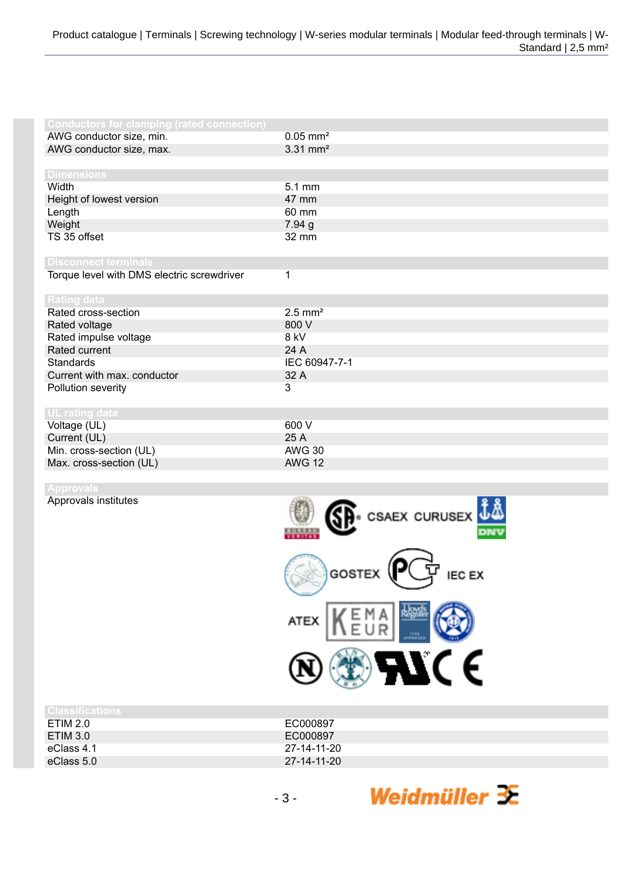| $0.05$ mm <sup>2</sup> |
|------------------------|
| $3.31$ mm <sup>2</sup> |
|                        |
|                        |
| 5.1 mm                 |
| 47 mm                  |
| 60 mm                  |
| 7.94 g                 |
| 32 mm                  |
|                        |
|                        |
| 1                      |
|                        |
|                        |
| $2.5$ mm <sup>2</sup>  |
| 800 V                  |
| 8 kV                   |
| 24 A                   |
| IEC 60947-7-1          |
| 32 A                   |
| 3                      |
|                        |
|                        |
| 600 V                  |
| 25 A                   |
| <b>AWG 30</b>          |
| <b>AWG 12</b>          |
|                        |

Approvals institutes



| <b>Classifications</b> |             |
|------------------------|-------------|
| ETIM 2.0               | EC000897    |
| ETIM 3.0               | EC000897    |
| eClass 4.1             | 27-14-11-20 |
| eClass 5.0             | 27-14-11-20 |